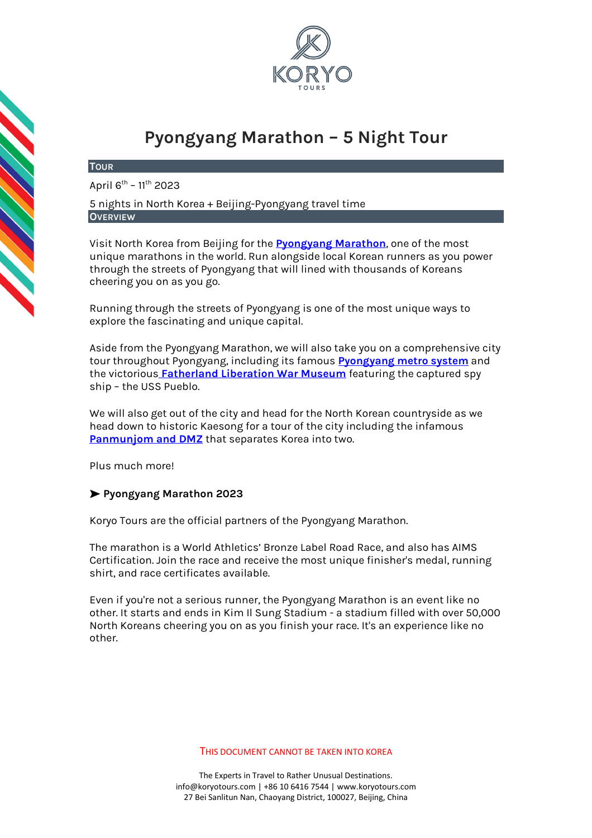

# **Pyongyang Marathon – 5 Night Tour**

## **TOUR**

April 6<sup>th</sup> – 11<sup>th</sup> 2023

5 nights in North Korea + Beijing-Pyongyang travel time **OVERVIEW**

Visit North Korea from Beijing for the **[Pyongyang Marathon](https://koryogroup.com/travel-guide/north-korea-travel-guide-the-pyongyang-marathon)**, one of the most unique marathons in the world. Run alongside local Korean runners as you power through the streets of Pyongyang that will lined with thousands of Koreans cheering you on as you go.

Running through the streets of Pyongyang is one of the most unique ways to explore the fascinating and unique capital.

Aside from the Pyongyang Marathon, we will also take you on a comprehensive city tour throughout Pyongyang, including its famous **Pyongyang [metro system](http://koryogroup.com/travel-guide/north-korea-guide-the-pyongyang-metro)** and the victorious **[Fatherland Liberation War Museum](https://koryogroup.com/travel-guide/north-korea-guide-victorious-fatherland-liberation-war-museum)** featuring the captured spy ship – the USS Pueblo.

We will also get out of the city and head for the North Korean countryside as we head down to historic Kaesong for a tour of the city including the infamous **[Panmunjom and DMZ](https://koryogroup.com/travel-guide/dmz-panmunjom-north-korea-north-korea-travel-guide)** that separates Korea into two.

Plus much more!

# ➤ **Pyongyang Marathon 2023**

Koryo Tours are the official partners of the Pyongyang Marathon.

The marathon is a World Athletics' Bronze Label Road Race, and also has AIMS Certification. Join the race and receive the most unique finisher's medal, running shirt, and race certificates available.

Even if you're not a serious runner, the Pyongyang Marathon is an event like no other. It starts and ends in Kim Il Sung Stadium - a stadium filled with over 50,000 North Koreans cheering you on as you finish your race. It's an experience like no other.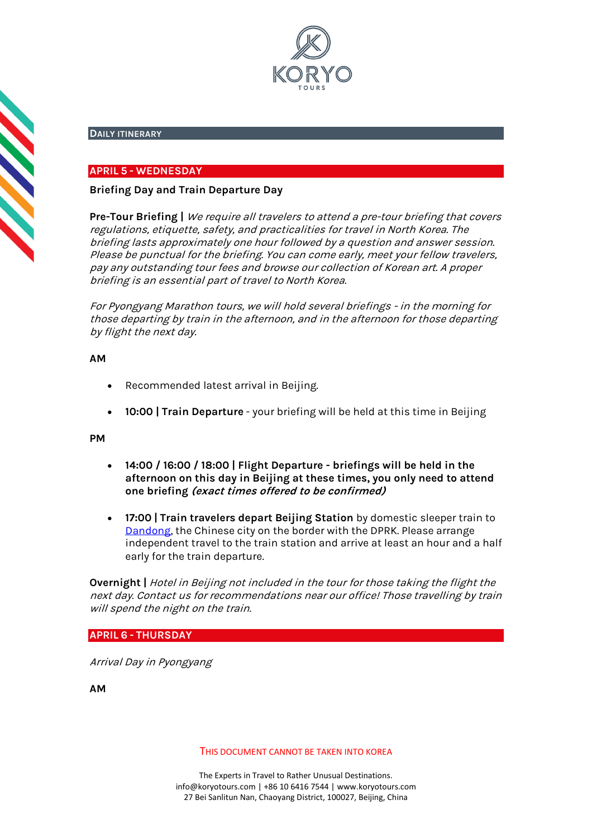

# **DAILY ITINERARY**

# **APRIL 5 - WEDNESDAY**

# **Briefing Day and Train Departure Day**

**Pre-Tour Briefing |** We require all travelers to attend a pre-tour briefing that covers regulations, etiquette, safety, and practicalities for travel in North Korea. The briefing lasts approximately one hour followed by a question and answer session. Please be punctual for the briefing. You can come early, meet your fellow travelers, pay any outstanding tour fees and browse our collection of Korean art. A proper briefing is an essential part of travel to North Korea.

For Pyongyang Marathon tours, we will hold several briefings - in the morning for those departing by train in the afternoon, and in the afternoon for those departing by flight the next day.

## **AM**

**CONSTRUCTION** 

- Recommended latest arrival in Beijing.
- **10:00 | Train Departure** your briefing will be held at this time in Beijing

## **PM**

- **14:00 / 16:00 / 18:00 | Flight Departure - briefings will be held in the afternoon on this day in Beijing at these times, you only need to attend one briefing (exact times offered to be confirmed)**
- **17:00 | Train travelers depart Beijing Station** by domestic sleeper train to Dandong, the Chinese city on the border with the DPRK. Please arrange independent travel to the train station and arrive at least an hour and a half early for the train departure.

**Overnight |** Hotel in Beijing not included in the tour for those taking the flight the next day. Contact us for recommendations near our office! Those travelling by train will spend the night on the train.

**APRIL 6 - THURSDAY**

Arrival Day in Pyongyang

**AM**

THIS DOCUMENT CANNOT BE TAKEN INTO KOREA

The Experts in Travel to Rather Unusual Destinations. [info@koryotours.com](mailto:info@koryotours.com) | +86 10 6416 7544 | [www.koryotours.com](http://www.koryotours.com/) 27 Bei Sanlitun Nan, Chaoyang District, 100027, Beijing, China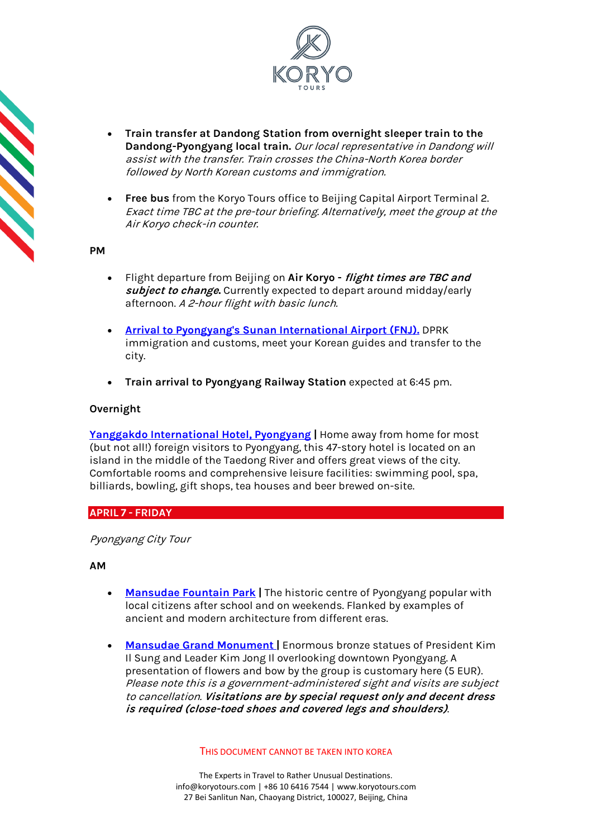

- **Train transfer at Dandong Station from overnight sleeper train to the Dandong-Pyongyang local train.** Our local representative in Dandong will assist with the transfer. Train crosses the China-North Korea border followed by North Korean customs and immigration.
- **Free bus** from the Koryo Tours office to Beijing Capital Airport Terminal 2. Exact time TBC at the pre-tour briefing. Alternatively, meet the group at the Air Koryo check-in counter.

## **PM**

- Flight departure from Beijing on **Air Koryo - flight times are TBC and subject to change.** Currently expected to depart around midday/early afternoon. A 2-hour flight with basic lunch.
- **[Arrival to Pyongyang's Sunan International Airport \(FNJ\).](https://koryogroup.com/travel-guide/pyongyang-airport-north-korea-travel-guide-f98cfdb4-ab0f-419c-90a3-93b18280a76b)** DPRK immigration and customs, meet your Korean guides and transfer to the city.
- **Train arrival to Pyongyang Railway Station** expected at 6:45 pm.

# **Overnight**

**[Yanggakdo International Hotel, Pyongyang](https://koryogroup.com/travel-guide/yanggakdo-hotel-north-korea-travel-guide) |** Home away from home for most (but not all!) foreign visitors to Pyongyang, this 47-story hotel is located on an island in the middle of the Taedong River and offers great views of the city. Comfortable rooms and comprehensive leisure facilities: swimming pool, spa, billiards, bowling, gift shops, tea houses and beer brewed on-site.

## **APRIL 7 - FRIDAY**

Pyongyang City Tour

**AM**

- **[Mansudae Fountain Park](https://koryogroup.com/travel-guide/mansudae-fountain-park-north-korea-travel-guide) |** The historic centre of Pyongyang popular with local citizens after school and on weekends. Flanked by examples of ancient and modern architecture from different eras.
- **[Mansudae Grand Monument](https://koryogroup.com/travel-guide/north-korea-guide-mansudae-grand-monument) [|](https://koryogroup.com/travel-guide/north-korea-guide-mansudae-grand-monument)** Enormous bronze statues of President Kim Il Sung and Leader Kim Jong Il overlooking downtown Pyongyang. A presentation of flowers and bow by the group is customary here (5 EUR). Please note this is a government-administered sight and visits are subject to cancellation. **Visitations are by special request only and decent dress is required (close-toed shoes and covered legs and shoulders)**.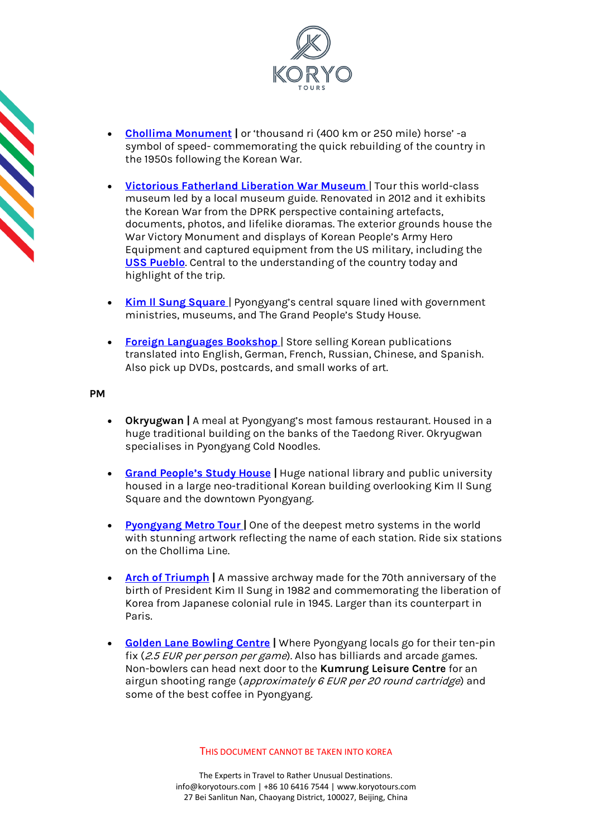

- **[Chollima Monument](https://koryogroup.com/travel-guide/north-korea-guide-chollima-statue) |** or 'thousand ri (400 km or 250 mile) horse' -a symbol of speed- commemorating the quick rebuilding of the country in the 1950s following the Korean War.
- **[Victorious Fatherland Liberation War Museum](https://koryogroup.com/travel-guide/north-korea-guide-victorious-fatherland-liberation-war-museum)** | Tour this world-class museum led by a local museum guide. Renovated in 2012 and it exhibits the Korean War from the DPRK perspective containing artefacts, documents, photos, and lifelike dioramas. The exterior grounds house the War Victory Monument and displays of Korean People's Army Hero Equipment and captured equipment from the US military, including the **[USS Pueblo](https://koryogroup.com/travel-guide/uss-pueblo-north-korea-travel-guide)**. Central to the understanding of the country today and highlight of the trip.
- **[Kim Il Sung Square](https://koryogroup.com/travel-guide/north-korea-guide-kim-il-sung-square)** | Pyongyang's central square lined with government ministries, museums, and The Grand People's Study House.
- **[Foreign Languages Bookshop](https://koryogroup.com/travel-guide/foreign-languages-bookshop-north-korea-travel-guide)** | Store selling Korean publications translated into English, German, French, Russian, Chinese, and Spanish. Also pick up DVDs, postcards, and small works of art.

## **PM**

- **Okryugwan |** A meal at Pyongyang's most famous restaurant. Housed in a huge traditional building on the banks of the Taedong River. Okryugwan specialises in Pyongyang Cold Noodles.
- **[Grand People's Study House](https://koryogroup.com/travel-guide/north-korea-guide-grand-peoples-study-house) |** Huge national library and public university housed in a large neo-traditional Korean building overlooking Kim Il Sung Square and the downtown Pyongyang.
- **[Pyongyang Metro Tour](https://koryogroup.com/travel-guide/north-korea-guide-the-pyongyang-metro)** [|](https://koryogroup.com/travel-guide/north-korea-guide-the-pyongyang-metro) One of the deepest metro systems in the world with stunning artwork reflecting the name of each station. Ride six stations on the Chollima Line.
- **[Arch of Triumph](https://koryogroup.com/travel-guide/north-korea-guide-arch-of-triumph) |** A massive archway made for the 70th anniversary of the birth of President Kim Il Sung in 1982 and commemorating the liberation of Korea from Japanese colonial rule in 1945. Larger than its counterpart in Paris.
- **[Golden Lane Bowling Centre](https://koryogroup.com/travel-guide/golden-lane-bowling-alley-north-korea-travel-guide) |** Where Pyongyang locals go for their ten-pin fix (2.5 EUR per person per game). Also has billiards and arcade games. Non-bowlers can head next door to the **Kumrung Leisure Centre** for an airgun shooting range (approximately 6 EUR per 20 round cartridge) and some of the best coffee in Pyongyang.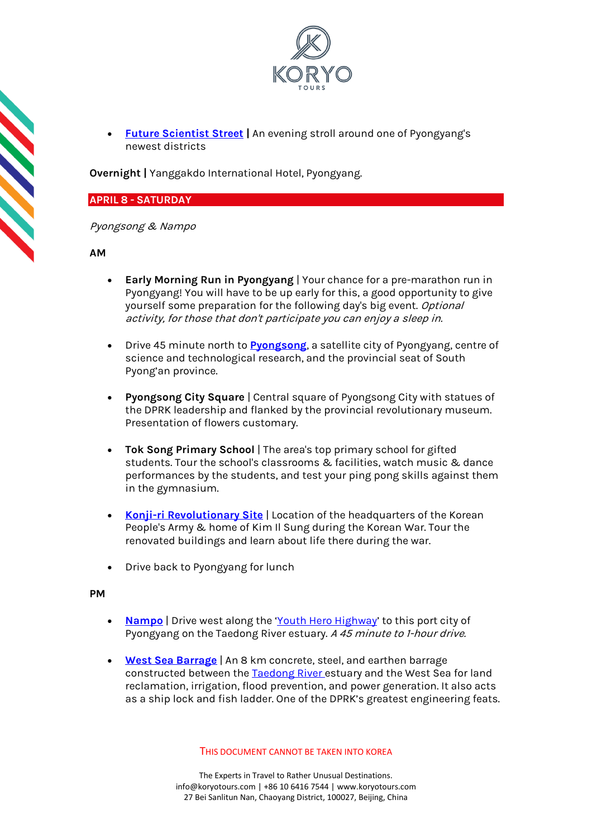

• **[Future Scientist Street](https://koryogroup.com/travel-guide/mirae-street-pyongyang-north-korea-travel-guide) |** An evening stroll around one of Pyongyang's newest districts

**Overnight |** Yanggakdo International Hotel, Pyongyang.

# **APRIL 8 - SATURDAY**

Pyongsong & Nampo

**AM**

- **Early Morning Run in Pyongyang** | Your chance for a pre-marathon run in Pyongyang! You will have to be up early for this, a good opportunity to give yourself some preparation for the following day's big event. Optional activity, for those that don't participate you can enjoy a sleep in.
- Drive 45 minute north to **[Pyongsong](https://koryogroup.com/travel-guide/mirae-street-pyongyang-north-korea-travel-guide)**, a satellite city of Pyongyang, centre of science and technological research, and the provincial seat of South Pyong'an province.
- **Pyongsong City Square** | Central square of Pyongsong City with statues of the DPRK leadership and flanked by the provincial revolutionary museum. Presentation of flowers customary.
- **Tok Song Primary School** | The area's top primary school for gifted students. Tour the school's classrooms & facilities, watch music & dance performances by the students, and test your ping pong skills against them in the gymnasium.
- **[Konji-ri Revolutionary Site](https://koryogroup.com/travel-guide/konji-ri-revolutionary-site-north-korea-travel-guide)** | Location of the headquarters of the Korean People's Army & home of Kim Il Sung during the Korean War. Tour the renovated buildings and learn about life there during the war.
- Drive back to Pyongyang for lunch

# **PM**

- **[Nampo](https://koryogroup.com/travel-guide/nampo-north-korea-north-korea-travel-guide)** | Drive west along the '[Youth Hero Highway](https://koryogroup.com/travel-guide/the-road-from-pyongyang-to-nampo-north-korea-travel-guide)' to this port city of Pyongyang on the Taedong River estuary. A 45 minute to 1-hour drive.
- **[West Sea Barrage](https://koryogroup.com/travel-guide/west-sea-barrage-nampo-north-korea-travel-guide)** | An 8 km concrete, steel, and earthen barrage constructed between the [Taedong River e](https://koryogroup.com/travel-guide/taedonggang-north-korea-travel-guide)stuary and the West Sea for land reclamation, irrigation, flood prevention, and power generation. It also acts as a ship lock and fish ladder. One of the DPRK's greatest engineering feats.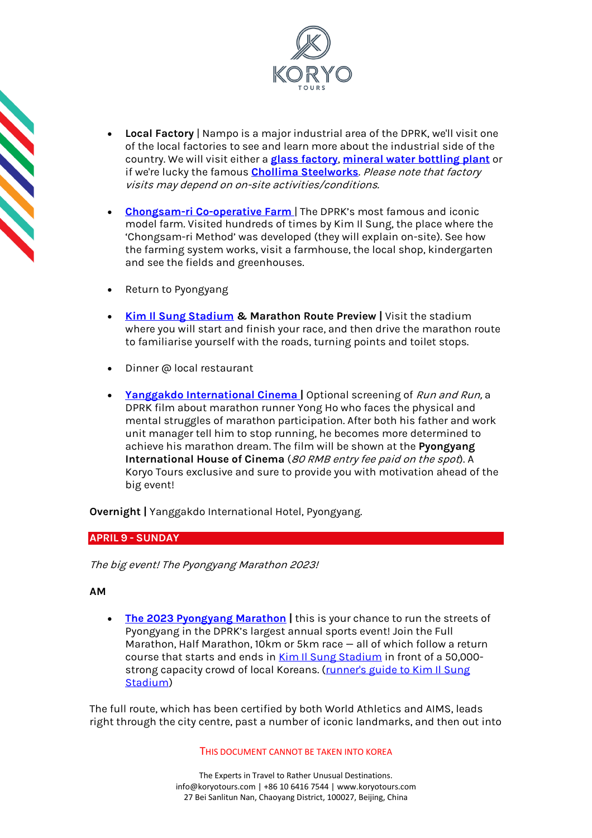

- **Local Factory** | Nampo is a major industrial area of the DPRK, we'll visit one of the local factories to see and learn more about the industrial side of the country. We will visit either a **[glass factory](https://koryogroup.com/travel-guide/tae-an-glass-factory-nampo-north-korea-travel-guide)**, **[mineral water bottling plant](https://koryogroup.com/travel-guide/kangso-mineral-water-bottling-plant-nampo-north-korea-travel-guide)** or if we're lucky the famous **Chollima [Steelworks](https://koryogroup.com/travel-guide/chollima-steelworks-north-korea-travel-guide)**. Please note that factory visits may depend on on-site activities/conditions.
- **[Chongsam-ri Co-operative Farm](https://koryogroup.com/travel-guide/the-road-from-pyongyang-to-nampo-north-korea-travel-guide)** | The DPRK's most famous and iconic model farm. Visited hundreds of times by Kim Il Sung, the place where the 'Chongsam-ri Method' was developed (they will explain on-site). See how the farming system works, visit a farmhouse, the local shop, kindergarten and see the fields and greenhouses.
- Return to Pyongyang
- **[Kim Il Sung Stadium](https://koryogroup.com/travel-guide/kim-il-sung-stadium-north-korea-travel-guide) & Marathon Route Preview |** Visit the stadium where you will start and finish your race, and then drive the marathon route to familiarise yourself with the roads, turning points and toilet stops.
- Dinner @ local restaurant
- **[Yanggakdo International Cinema](https://koryogroup.com/travel-guide/yanggakdo-international-cinema-north-korea-travel-guide) |** Optional screening of Run and Run, a DPRK film about marathon runner Yong Ho who faces the physical and mental struggles of marathon participation. After both his father and work unit manager tell him to stop running, he becomes more determined to achieve his marathon dream. The film will be shown at the **Pyongyang International House of Cinema** (80 RMB entry fee paid on the spot). A Koryo Tours exclusive and sure to provide you with motivation ahead of the big event!

**Overnight |** Yanggakdo International Hotel, Pyongyang.

# **APRIL 9 - SUNDAY**

The big event! The Pyongyang Marathon 2023!

**AM**

• **[The 2023 Pyongyang Marathon](https://koryogroup.com/travel-guide/north-korea-travel-guide-the-pyongyang-marathon) |** this is your chance to run the streets of Pyongyang in the DPRK's largest annual sports event! Join the Full Marathon, Half Marathon, 10km or 5km race — all of which follow a return course that starts and ends in [Kim Il Sung Stadium](https://koryogroup.com/travel-guide/kim-il-sung-stadium-north-korea-travel-guide) in front of a 50,000 strong capacity crowd of local Koreans. (runner's guide to Kim Il Sung [Stadium\)](https://koryogroup.com/blog/a-pyongyang-marathon-runner-s-guide-kim-il-sung-stadium)

The full route, which has been certified by both World Athletics and AIMS, leads right through the city centre, past a number of iconic landmarks, and then out into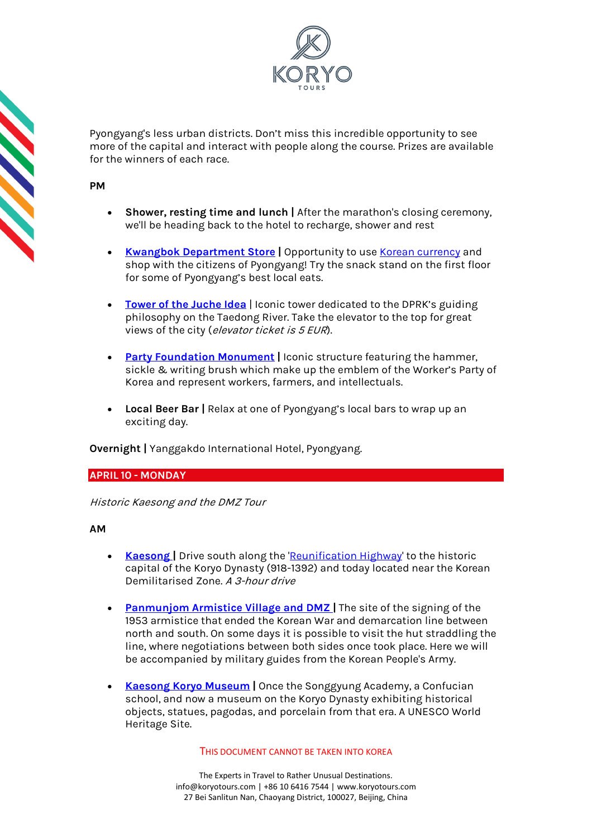

Pyongyang's less urban districts. Don't miss this incredible opportunity to see more of the capital and interact with people along the course. Prizes are available for the winners of each race.

**PM**

**CONTRACT** 

- **Shower, resting time and lunch |** After the marathon's closing ceremony, we'll be heading back to the hotel to recharge, shower and rest
- **[Kwangbok Department Store](https://koryogroup.com/travel-guide/north-korea-guide-kwangbok-department-store-supermarket)** | Opportunity to us[e Korean currency](https://koryogroup.com/travel-guide/where-can-i-get-north-korean-currency-north-korean-money-faqs) and shop with the citizens of Pyongyang! Try the snack stand on the first floor for some of Pyongyang's best local eats.
- **[Tower of the Juche Idea](https://koryogroup.com/travel-guide/the-tower-of-the-juche-idea)** | Iconic tower dedicated to the DPRK's guiding philosophy on the Taedong River. Take the elevator to the top for great views of the city (elevator ticket is 5 EUR).
- **[Party Foundation Monument](https://koryogroup.com/travel-guide/north-korea-guide-monument-to-party-founding)** | Iconic structure featuring the hammer, sickle & writing brush which make up the emblem of the Worker's Party of Korea and represent workers, farmers, and intellectuals.
- **Local Beer Bar |** Relax at one of Pyongyang's local bars to wrap up an exciting day.

**Overnight |** Yanggakdo International Hotel, Pyongyang.

## **APRIL 10 - MONDAY**

Historic Kaesong and the DMZ Tour

## **AM**

- **Kaesong** | Drive south along the ['Reunification Highway'](https://koryogroup.com/travel-guide/the-reunification-highway-pyongyang-to-the-dmz-north-korea-travel-guide) to the historic capital of the Koryo Dynasty (918-1392) and today located near the Korean Demilitarised Zone. <sup>A</sup> 3-hour drive
- **[Panmunjom Armistice Village and DMZ](https://koryogroup.com/travel-guide/dmz-panmunjom-north-korea-north-korea-travel-guide) |** The site of the signing of the 1953 armistice that ended the Korean War and demarcation line between north and south. On some days it is possible to visit the hut straddling the line, where negotiations between both sides once took place. Here we will be accompanied by military guides from the Korean People's Army.
- **[Kaesong Koryo Museum](https://koryogroup.com/travel-guide/north-korea-guide-kaesong-koryo-museum) |** Once the Songgyung Academy, a Confucian school, and now a museum on the Koryo Dynasty exhibiting historical objects, statues, pagodas, and porcelain from that era. A UNESCO World Heritage Site.

## THIS DOCUMENT CANNOT BE TAKEN INTO KOREA

The Experts in Travel to Rather Unusual Destinations. [info@koryotours.com](mailto:info@koryotours.com) | +86 10 6416 7544 | [www.koryotours.com](http://www.koryotours.com/) 27 Bei Sanlitun Nan, Chaoyang District, 100027, Beijing, China